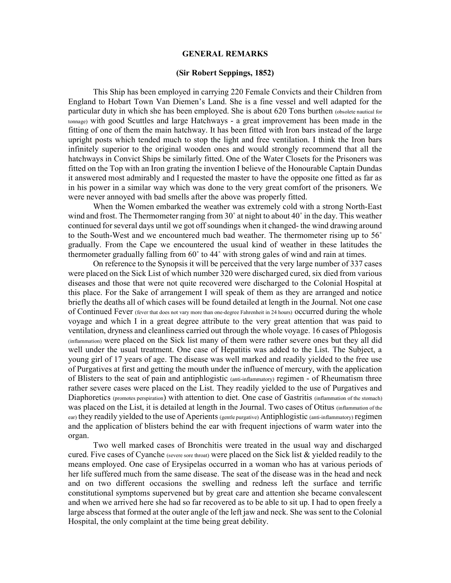## GENERAL REMARKS

## (Sir Robert Seppings, 1852)

This Ship has been employed in carrying 220 Female Convicts and their Children from England to Hobart Town Van Diemen's Land. She is a fine vessel and well adapted for the particular duty in which she has been employed. She is about 620 Tons burthen (obsolete nautical for tonnage) with good Scuttles and large Hatchways - a great improvement has been made in the fitting of one of them the main hatchway. It has been fitted with Iron bars instead of the large upright posts which tended much to stop the light and free ventilation. I think the Iron bars infinitely superior to the original wooden ones and would strongly recommend that all the hatchways in Convict Ships be similarly fitted. One of the Water Closets for the Prisoners was fitted on the Top with an Iron grating the invention I believe of the Honourable Captain Dundas it answered most admirably and I requested the master to have the opposite one fitted as far as in his power in a similar way which was done to the very great comfort of the prisoners. We were never annoyed with bad smells after the above was properly fitted.

When the Women embarked the weather was extremely cold with a strong North-East wind and frost. The Thermometer ranging from 30˚ at night to about 40˚ in the day. This weather continued for several days until we got off soundings when it changed- the wind drawing around to the South-West and we encountered much bad weather. The thermometer rising up to 56˚ gradually. From the Cape we encountered the usual kind of weather in these latitudes the thermometer gradually falling from 60˚ to 44˚ with strong gales of wind and rain at times.

On reference to the Synopsis it will be perceived that the very large number of 337 cases were placed on the Sick List of which number 320 were discharged cured, six died from various diseases and those that were not quite recovered were discharged to the Colonial Hospital at this place. For the Sake of arrangement I will speak of them as they are arranged and notice briefly the deaths all of which cases will be found detailed at length in the Journal. Not one case of Continued Fever (fever that does not vary more than one-degree Fahrenheit in 24 hours) occurred during the whole voyage and which I in a great degree attribute to the very great attention that was paid to ventilation, dryness and cleanliness carried out through the whole voyage. 16 cases of Phlogosis (inflammation) were placed on the Sick list many of them were rather severe ones but they all did well under the usual treatment. One case of Hepatitis was added to the List. The Subject, a young girl of 17 years of age. The disease was well marked and readily yielded to the free use of Purgatives at first and getting the mouth under the influence of mercury, with the application of Blisters to the seat of pain and antiphlogistic (anti-inflammatory) regimen - of Rheumatism three rather severe cases were placed on the List. They readily yielded to the use of Purgatives and Diaphoretics (promotes perspiration) with attention to diet. One case of Gastritis (inflammation of the stomach) was placed on the List, it is detailed at length in the Journal. Two cases of Otitus (inflammation of the ear) they readily yielded to the use of Aperients (gentle purgative) Antiphlogistic (anti-inflammatory) regimen and the application of blisters behind the ear with frequent injections of warm water into the organ.

Two well marked cases of Bronchitis were treated in the usual way and discharged cured. Five cases of Cyanche (severe sore throat) were placed on the Sick list  $\&$  yielded readily to the means employed. One case of Erysipelas occurred in a woman who has at various periods of her life suffered much from the same disease. The seat of the disease was in the head and neck and on two different occasions the swelling and redness left the surface and terrific constitutional symptoms supervened but by great care and attention she became convalescent and when we arrived here she had so far recovered as to be able to sit up. I had to open freely a large abscess that formed at the outer angle of the left jaw and neck. She was sent to the Colonial Hospital, the only complaint at the time being great debility.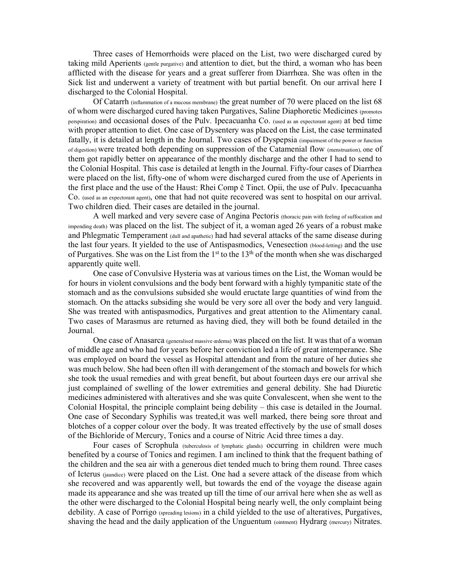Three cases of Hemorrhoids were placed on the List, two were discharged cured by taking mild Aperients (gentle purgative) and attention to diet, but the third, a woman who has been afflicted with the disease for years and a great sufferer from Diarrhœa. She was often in the Sick list and underwent a variety of treatment with but partial benefit. On our arrival here I discharged to the Colonial Hospital.

Of Catarrh (inflammation of a mucous membrane) the great number of 70 were placed on the list 68 of whom were discharged cured having taken Purgatives, Saline Diaphoretic Medicines (promotes perspiration) and occasional doses of the Pulv. Ipecacuanha Co. (used as an expectorant agent) at bed time with proper attention to diet. One case of Dysentery was placed on the List, the case terminated fatally, it is detailed at length in the Journal. Two cases of Dyspepsia (impairment of the power or function of digestion) were treated both depending on suppression of the Catamenial flow (menstruation), one of them got rapidly better on appearance of the monthly discharge and the other I had to send to the Colonial Hospital. This case is detailed at length in the Journal. Fifty-four cases of Diarrhea were placed on the list, fifty-one of whom were discharged cured from the use of Aperients in the first place and the use of the Haust: Rhei Comp č Tinct. Opii, the use of Pulv. Ipecacuanha Co. (used as an expectorant agent), one that had not quite recovered was sent to hospital on our arrival. Two children died. Their cases are detailed in the journal.

A well marked and very severe case of Angina Pectoris (thoracic pain with feeling of suffocation and impending death) was placed on the list. The subject of it, a woman aged 26 years of a robust make and Phlegmatic Temperament (dull and apathetic) had had several attacks of the same disease during the last four years. It yielded to the use of Antispasmodics, Venesection (blood-letting) and the use of Purgatives. She was on the List from the 1st to the 13th of the month when she was discharged apparently quite well.

One case of Convulsive Hysteria was at various times on the List, the Woman would be for hours in violent convulsions and the body bent forward with a highly tympanitic state of the stomach and as the convulsions subsided she would eructate large quantities of wind from the stomach. On the attacks subsiding she would be very sore all over the body and very languid. She was treated with antispasmodics, Purgatives and great attention to the Alimentary canal. Two cases of Marasmus are returned as having died, they will both be found detailed in the Journal.

One case of Anasarca (generalised massive œdema) was placed on the list. It was that of a woman of middle age and who had for years before her conviction led a life of great intemperance. She was employed on board the vessel as Hospital attendant and from the nature of her duties she was much below. She had been often ill with derangement of the stomach and bowels for which she took the usual remedies and with great benefit, but about fourteen days ere our arrival she just complained of swelling of the lower extremities and general debility. She had Diuretic medicines administered with alteratives and she was quite Convalescent, when she went to the Colonial Hospital, the principle complaint being debility – this case is detailed in the Journal. One case of Secondary Syphilis was treated,it was well marked, there being sore throat and blotches of a copper colour over the body. It was treated effectively by the use of small doses of the Bichloride of Mercury, Tonics and a course of Nitric Acid three times a day.

Four cases of Scrophula (tuberculosis of lymphatic glands) occurring in children were much benefited by a course of Tonics and regimen. I am inclined to think that the frequent bathing of the children and the sea air with a generous diet tended much to bring them round. Three cases of Icterus (jaundice) were placed on the List. One had a severe attack of the disease from which she recovered and was apparently well, but towards the end of the voyage the disease again made its appearance and she was treated up till the time of our arrival here when she as well as the other were discharged to the Colonial Hospital being nearly well, the only complaint being debility. A case of Porrigo (spreading lesions) in a child yielded to the use of alteratives, Purgatives, shaving the head and the daily application of the Unguentum (ointment) Hydrarg (mercury) Nitrates.